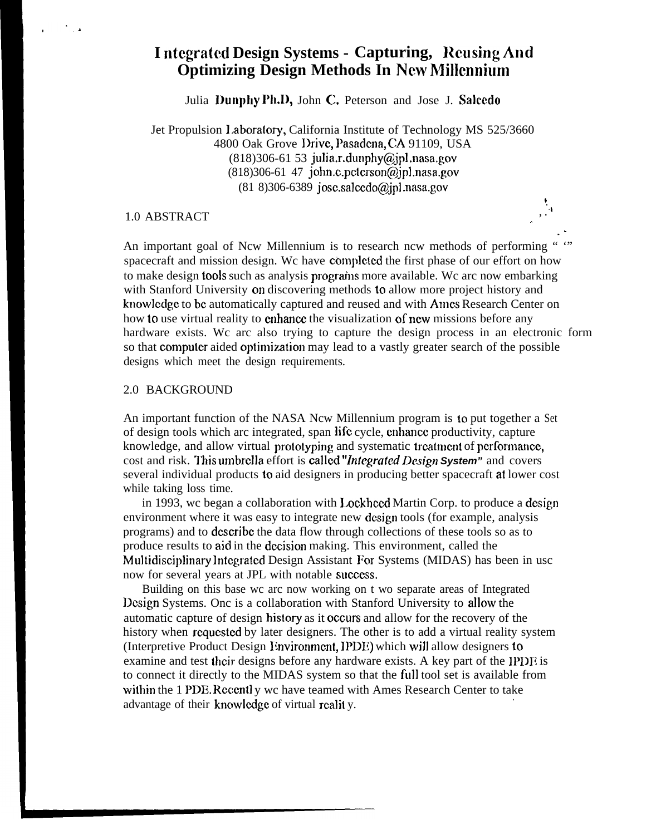# **I** ntegrated Design Systems - Capturing, Reusing And **Optimizing Design Methods In New Milkmniwn**

Julia Dunphy Ph.D, John C. Peterson and Jose J. Salcedo

Jet Propulsion I.aboratory, California Institute of Technology MS 525/3660 4800 Oak Grove Drive, Pasadena, CA 91109, USA  $(818)306-6153$  julia.r.dunphy@jpl.nasa.gov  $(818)306-61$  47 john.c.pctcrson $(a)$ jpl.nasa.gov  $(81 8)306-6389$  josc.salccdo $@$ jpl.nasa.gov

#### 1.0 ABSTRACT

An important goal of Ncw Millennium is to research ncw methods of performing "" spacecraft and mission design. Wc have complctcd the first phase of our effort on how to make design tools such as analysis prograins more available. Wc arc now embarking with Stanford University on discovering methods to allow more project history and knowledge to be automatically captured and reused and with Amcs Research Center on how to use virtual reality to cnhance the visualization of new missions before any hardware exists. Wc arc also trying to capture the design process in an electronic form so that computer aided optimization may lead to a vastly greater search of the possible designs which meet the design requirements.

 $\frac{1}{4}$ ,  $\frac{1}{4}$ 

. '

#### 2.0 BACKGROUND

An important function of the NASA Ncw Millennium program is to put together a Set of design tools which arc integrated, span IIfc cycle, cnhancc productivity, capture knowledge, and allow virtual prototyping and systematic treatment of performance, cost and risk. This umbrella effort is called "Integrated Design System" and covers several individual products to aid designers in producing better spacecraft at lower cost while taking loss time.

in 1993, wc began a collaboration with Lockhccd Martin Corp. to produce a dcsjgn environment where it was easy to integrate new dcsjgn tools (for example, analysis programs) and to dcscribc the data flow through collections of these tools so as to produce results to aid in the decision making. This environment, called the Multidisciplinary Integrated Design Assistant For Systems (MIDAS) has been in usc now for several years at JPL with notable SUCCCSS.

Building on this base wc arc now working on t wo separate areas of Integrated Dcsjgn Systems. Onc is a collaboration with Stanford University to allow the automatic capture of design history as it occurs and allow for the recovery of the history when **requested** by later designers. The other is to add a virtual reality system (Interpretive Product Design linvironmcnt, IPDE) which will allow designers to examine and test their designs before any hardware exists. A key part of the IPDE is to connect it directly to the MIDAS system so that the fill tool set is available from within the 1 PDE. Recently we have teamed with Ames Research Center to take advantage of their knowledge of virtual reality. .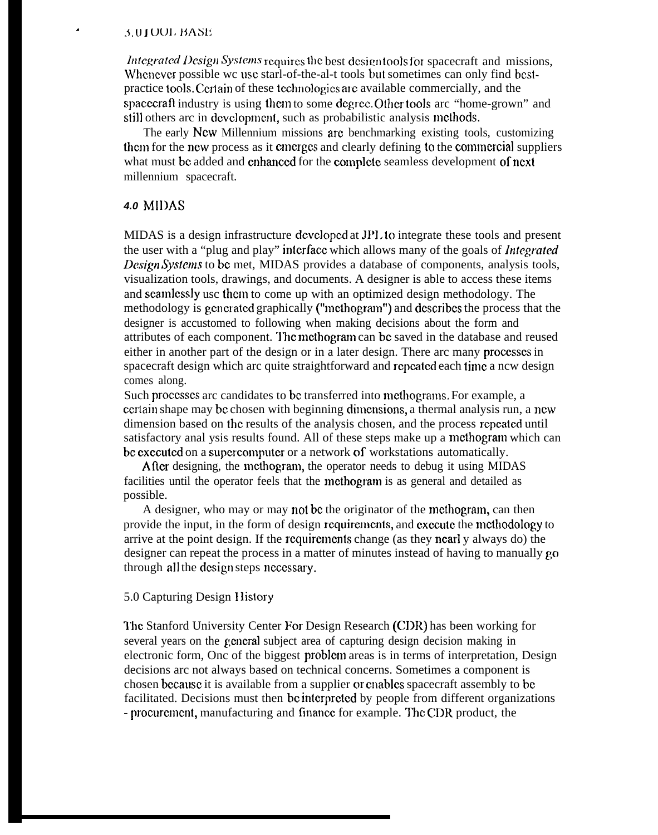#### 3.01 UUL, BASE

.

Integrated Design Systems requires the best design tools for spacecraft and missions, Whenever possible wc use starl-of-the-al-t tools but sometimes can only find bestpractice tools. Certain of these technologies are available commercially, and the spacecraft industry is using them to some degree. Other tools arc "home-grown" and still others arc in development, such as probabilistic analysis methods.

The early Ncw Millennium missions arc benchmarking existing tools, customizing thcm for the ncw process as it cmcrgcs and clearly defining to the conmcrcial suppliers what must be added and cnhanced for the complete seamless development of next millennium spacecraft.

# **4.0** MI1)AS

MIDAS is a design infrastructure developed at JPL to integrate these tools and present the user with a "plug and play" interface which allows many of the goals of *Integrated* **Design Systems** to be met, MIDAS provides a database of components, analysis tools, visualization tools, drawings, and documents. A designer is able to access these items and scamlcssly usc thcm to come up with an optimized design methodology. The methodology is gcncratcd graphically ("mcthogram") and dcscribcs the process that the designer is accustomed to following when making decisions about the form and attributes of each component. The methogram can be saved in the database and reused either in another part of the design or in a later design. There arc many proccsscs in spacecraft design which arc quite straightforward and repeated each time a ncw design comes along.

Such proccsscs arc candidates to bc transferred into mcthograms. For example, a ccrtain shape may bc chosen with beginning dimensions, a thermal analysis run, a new dimension based on the results of the analysis chosen, and the process repeated until satisfactory anal ysis results found. All of these steps make up a mcthogram which can bc executed on a supercomputer or a network of workstations automatically.

Aflcr designing, the mcthogram, the operator needs to debug it using MIDAS facilities until the operator feels that the mcthogram is as general and detailed as possible.

A designer, who may or may not bc the originator of the mcthogram, can then provide the input, in the form of design requirements, and execute the methodology to arrive at the point design. If the rcquircmcnts change (as they ncarl y always do) the designer can repeat the process in a matter of minutes instead of having to manually go through all the design steps necessary.

## 5.0 Capturing Design I listory

The Stanford University Center For Design Research (CDR) has been working for several years on the general subject area of capturing design decision making in electronic form, Onc of the biggest problcm areas is in terms of interpretation, Design decisions arc not always based on technical concerns. Sometimes a component is chosen because it is available from a supplier or cnables spacecraft assembly to be facilitated. Decisions must then bc intcrprctcd by people from different organizations - procurement, manufacturing and finance for example. The CDR product, the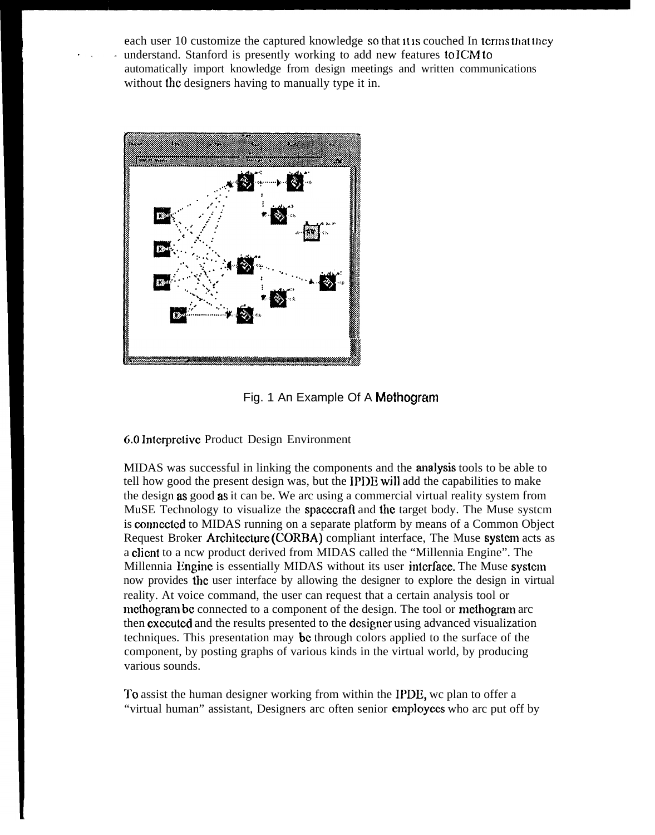each user 10 customize the captured knowledge so that it is couched In terms that they understand. Stanford is presently working to add new features to ICM to automatically import knowledge from design meetings and written communications without the designers having to manually type it in.



Fig. 1 An Example Of A Methogram

6.0 lntcrpretivc Product Design Environment

MIDAS was successful in linking the components and the analysis tools to be able to tell how good the present design was, but the lPDE will add the capabilities to make the design as good as it can be. We arc using a commercial virtual reality system from MuSE Technology to visualize the spacccrafi and the target body. The Muse systcm is conncctcd to MIDAS running on a separate platform by means of a Common Object Request Broker Architecture (CORBA) compliant interface, The Muse system acts as a client to a ncw product derived from MIDAS called the "Millennia Engine". The Millennia Engine is essentially MIDAS without its user interface. The Muse system now provides the user interface by allowing the designer to explore the design in virtual reality. At voice command, the user can request that a certain analysis tool or methogram be connected to a component of the design. The tool or methogram arc then **executed** and the results presented to the **designer** using advanced visualization techniques. This presentation may bc through colors applied to the surface of the component, by posting graphs of various kinds in the virtual world, by producing various sounds.

To assist the human designer working from within the IPDE, wc plan to offer a "virtual human" assistant, Designers arc often senior cmployccs who arc put off by